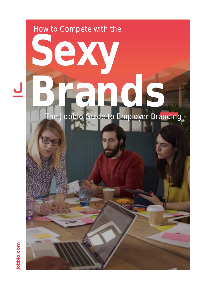# How to Compete with the **Sexy Brands \_ The Jobbio Guide to Employer Branding**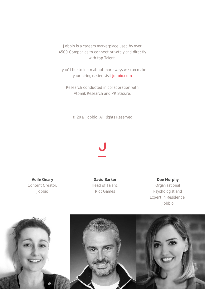Jobbio is a careers marketplace used by over 4500 Companies to connect privately and directly with top Talent.

If you'd like to learn about more ways we can make your hiring easier, vis[it jobbio.com](http://www.jobbio.com)

Research conducted in collaboration with Atomik Research and PR Stature.

© 2017 Jobbio, All Rights Reserved

# <u>ل</u>

**Aoife Geary** Content Creator, Jobbio

**David Barker** Head of Talent, Riot Games

**Dee Murphy**

Organisational Psychologist and Expert in Residence, Jobbio

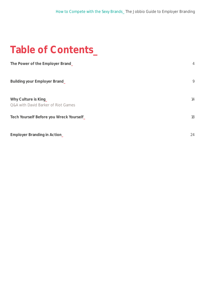## **Table of Contents\_**

| The Power of the Employer Brand_                                       | $\overline{4}$ |
|------------------------------------------------------------------------|----------------|
| <b>Building your Employer Brand_</b>                                   | 9              |
| Why Culture is King_<br><b>Q&amp;A with David Barker of Riot Games</b> | 14             |
| Tech Yourself Before you Wreck Yourself                                | 18             |
| <b>Employer Branding in Action_</b>                                    | 24             |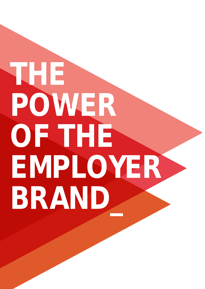# <span id="page-3-0"></span>**THE POWER OF THE EMPLOYER BRAND\_**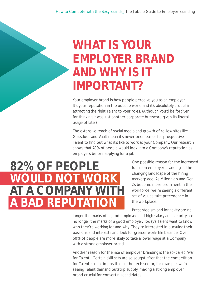# **WHAT IS YOUR EMPLOYER BRAND AND WHY IS IT IMPORTANT?**

Your employer brand is how people perceive you as an employer. It's your reputation in the outside world and it's absolutely crucial in attracting the right Talent to your roles. (Although you'd be forgiven for thinking it was just another corporate buzzword given its liberal usage of late.)

The extensive reach of social media and growth of review sites like Glassdoor and Vault mean it's never been easier for prospective Talent to find out what it's like to work at your Company. Our research shows that 78% of people would look into a Company's reputation as employers before applying for a job.

## **82% OF PEOPLE WOULD NOT WORK AT A COMPANY WITH A BAD REPUTATION**

One possible reason for the increased focus on employer branding, is the changing landscape of the hiring marketplace. As Millennials and Gen Zs become more prominent in the workforce, we're seeing a different set of values take precedence in the workplace.

Presenteeism and longevity are no

longer the marks of a good employee and high salary and security are no longer the marks of a good employer. Today's Talent want to know who they're working for and why. They're interested in pursuing their passions and interests and look for greater work-life balance. Over 50% of people are more likely to take a lower wage at a Company with a strong employer brand.

Another reason for the rise of employer branding is the so-called 'war for Talent'. Certain skill sets are so sought after that the competition for Talent is near impossible. In the tech sector, for example, we're seeing Talent demand outstrip supply, making a strong employer brand crucial for converting candidates.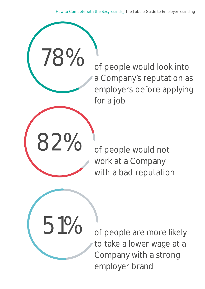How to Compete with the Sexy Brands\_ The Jobbio Guide to Employer Branding

of people would look into a Company's reputation as employers before applying for a job



51%

78%

of people would not work at a Company with a bad reputation

of people are more likely to take a lower wage at a Company with a strong employer brand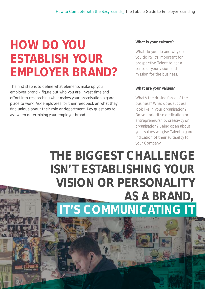# **HOW DO YOU ESTABLISH YOUR EMPLOYER BRAND?**

The first step is to define what elements make up your employer brand - figure out who you are. Invest time and effort into researching what makes your organisation a good place to work. Ask employees for their feedback on what they find unique about their role or department. Key questions to ask when determining your employer brand:

### **What is your culture?**

What do you do and why do you do it? It's important for prospective Talent to get a sense of your vision and mission for the business.

#### **What are your values?**

What's the driving force of the business? What does success look like in your organisation? Do you prioritise dedication or entrepreneurship, creativity or organisation? Being open about your values will give Talent a good indication of their suitability to your Company.

## **THE BIGGEST CHALLENGE ISN'T ESTABLISHING YOUR VISION OR PERSONALITY AS A BRAND, IT'S COMMUNICATING IT**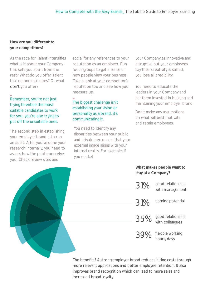## **How are you different to your competitors?**

As the race for Talent intensifies what is it about your Company that sets you apart from the rest? What do you offer Talent that no one else does? Or what don't you offer?

## Remember, you're not just trying to entice the most suitable candidates to work for you, you're also trying to put off the unsuitable ones.

 $\overline{\phantom{0}}$ 

The second step in establishing your employer brand is to run an audit. After you've done your research internally, you need to assess how the public perceive you. Check review sites and

social for any references to your reputation as an employer. Run focus groups to get a sense of how people view your business. Take a look at your competitor's reputation too and see how you measure up.

## The biggest challenge isn't establishing your vision or personality as a brand, it's communicating it.

\_

You need to identify any disparities between your public and private persona so that your external image aligns with your internal reality. For example, if you market

your Company as innovative and disruptive but your employees say their creativity is stifled, you lose all credibility.

You need to educate the leaders in your Company and get them invested in building and maintaining your employer brand.

Don't make any assumptions on what will best motivate and retain employees.

## **What makes people want to stay at a Company?**

| 31% | good relationship<br>with management        |
|-----|---------------------------------------------|
| 31% | earning potential                           |
|     | good relationship<br>$35\%$ good relations. |
| 39% | flexible working<br>hours/days              |
|     |                                             |

The benefits? A strong employer brand reduces hiring costs through more relevant applications and better employee retention. It also improves brand recognition which can lead to more sales and increased brand loyalty.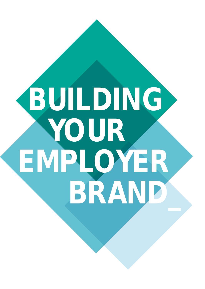# <span id="page-8-0"></span>**BUILDING YOUR EMPLOYER BRAND\_**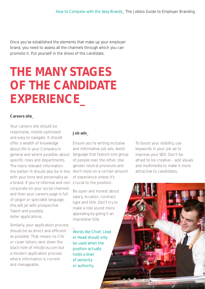Once you've established the elements that make up your employer brand, you need to assess all the channels through which you can promote it. Put yourself in the shoes of the candidate.

# **THE MANY STAGES OF THE CANDIDATE EXPERIENCE\_**

#### **Careers site\_**

Your careers site should be responsive, mobile optimised and easy to navigate. It should offer a wealth of knowledge about life in your Company in general and where possible, about specific roles and departments. The more relevant information the better! It should also be in line don't insist on a certain amount with your tone and personality as a brand. If you're informal and non crucial to the position. corporate on your social channels and then your careers page is full of jargon or specialist language, this will jar with prospective Talent and possibly deter applications.

Similarly, your application process should be as direct and efficient as possible. That means no CVs or cover letters sent down the black hole of info@cvs.com but a modern application process where information is current and manageable.

## **Job ads\_**

Ensure you're writing inclusive and informative job ads. Avoid language that favours one group of people over the other. Use gender neutral pronouns and of experience unless it's

Be open and honest about salary, location, contract type and title. Don't try to make a role sound more appealing by giving it an impressive title.

Words like Chief, Lead or Head should only be used when the position actually holds a level of seniority or authority.

\_

To boost your visibility, use keywords in your job ad to improve your SEO. Don't be afraid to be creative - add visuals and multimedia to make it more attractive to candidates.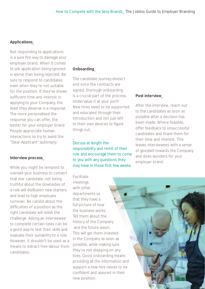## **Applications\_**

Not responding to applications is a sure fire way to damage your employer brand. When it comes to job application being ignored is worse than being rejected. Be sure to respond to candidates even when they're not suitable for the position. If they've shown sufficient time and interest in applying to your Company, the least they deserve is a response. The more personalised the response you can offer, the better for your employer brand. People appreciate human interactions so try to avoid the "Dear Applicant" autoreply.

## **Interview process\_**

While you might be tempted to oversell your business to convert that star candidate, not being truthful about the downsides of a role will disillusion new starters and lead to high employee turnover. Be candid about the difficulties of a position as the right candidate will relish the challenge. Asking an interviewee to complete certain tasks can be a good way to test their skills and evaluate their suitability to a role. However, it shouldn't be used as a means to extract free labour from candidates.

## **Onboarding\_**

\_

The candidate journey doesn't end once the contracts are signed, thorough onboarding is a crucial part of the process. Undervalue it at your peril! New hires need to be supported and educated through their introduction and not just left to their own devices to figure things out.

Discuss at length the responsibility and remit of their role and encourage them to come to you with any questions they may have in those first few weeks.

Facilitate meetings with other departments so that they have a full picture of how the business works. Tell them about the history of the Company and the future vision. This will get them invested in the Company as soon as possible, while making sure they're not stepping on any toes. Good onboarding means providing all the information and support a new hire needs to be confident and assured in their new position.

### **Post interview\_**

After the interview, reach out to the candidates as soon as possible after a decision has been made. Where feasible, offer feedback to unsuccessful candidates and thank them for their time and interest. This leaves interviewees with a sense of goodwill towards the Company and does wonders for your employer brand.

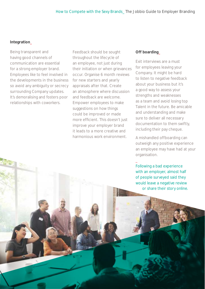#### **Integration\_**

Being transparent and having good channels of communication are essential for a strong employer brand. Employees like to feel involved in the developments in the business so avoid any ambiguity or secrecy surrounding Company updates. It's demoralising and fosters poor relationships with coworkers.

Feedback should be sought throughout the lifecycle of an employee, not just during their initiation or when grievances occur. Organise 6 month reviews for new starters and yearly appraisals after that. Create an atmosphere where discussion and feedback are welcome. Empower employees to make suggestions on how things could be improved or made more efficient. This doesn't just improve your employer brand it leads to a more creative and harmonious work environment.

#### **Off boarding\_**

Exit interviews are a must for employees leaving your Company. It might be hard to listen to negative feedback about your business but it's a good way to assess your strengths and weaknesses as a team and avoid losing top Talent in the future. Be amicable and understanding and make sure to deliver all necessary documentation to them swiftly, including their pay cheque.

A mishandled offboarding can outweigh any positive experience an employee may have had at your organisation.

Following a bad experience with an employer, almost half of people surveyed said they would leave a negative review or share their story online.

\_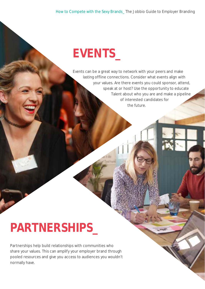# **EVENTS\_**

Events can be a great way to network with your peers and make lasting offline connections. Consider what events align with your values. Are there events you could sponsor, attend, speak at or host? Use the opportunity to educate Talent about who you are and make a pipeline of interested candidates for the future.

# **PARTNERSHIPS\_**

Partnerships help build relationships with communities who share your values. This can amplify your employer brand through pooled resources and give you access to audiences you wouldn't normally have.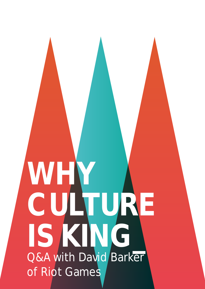# <span id="page-13-0"></span>**WHY CULTURE IS KING\_** Q&A with David Barker of Riot Games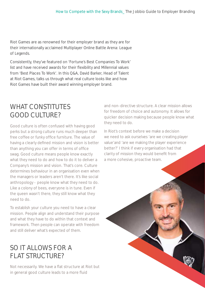Riot Games are as renowned for their employer brand as they are for their internationally acclaimed Multiplayer Online Battle Arena: League of Legends.

Consistently, they've featured on 'Fortune's Best Companies To Work' list and have received awards for their flexibility and Millennial values from 'Best Places To Work'. In this Q&A, David Barker, Head of Talent at Riot Games, talks us through what real culture looks like and how Riot Games have built their award winning employer brand.

## WHAT CONSTITUTES GOOD CULTURE?

Good culture is often confused with having good perks but a strong culture runs much deeper than free coffee or funky office furniture. The value of having a clearly defined mission and vision is better than anything you can offer in terms of office swag. Good culture means people know exactly what they need to do and how to do it to deliver a Company's mission and vision. That's core. Culture determines behaviour in an organisation even when the managers or leaders aren't there. It's like social anthropology - people know what they need to do. Like a colony of bees, everyone is in tune. Even if the queen wasn't there, they still know what they need to do.

To establish your culture you need to have a clear mission. People align and understand their purpose and what they have to do within that context and framework. Then people can operate with freedom and still deliver what's expected of them.

## SO IT ALLOWS FOR A FLAT STRUCTURE?

Not necessarily. We have a flat structure at Riot but in general good culture leads to a more fluid

and non-directive structure. A clear mission allows for freedom of choice and autonomy. It allows for quicker decision making because people know what they need to do.

In Riot's context before we make a decision we need to ask ourselves 'are we creating player value'and 'are we making the player experience better?' I think if every organisation had that clarity of mission they would benefit from a more cohesive, proactive team.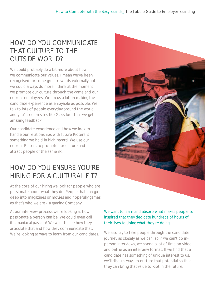## HOW DO YOU COMMUNICATE THAT CULTURE TO THE OUTSIDE WORLD?

We could probably do a bit more about how we communicate our values. I mean we've been recognised for some great rewards externally but we could always do more. I think at the moment we promote our culture through the game and our current employees. We focus a lot on making the candidate experience as enjoyable as possible. We talk to lots of people everyday around the world and you'll see on sites like Glassdoor that we get amazing feedback.

Our candidate experience and how we look to handle our relationships with future Rioters is something we hold in high regard. We use our current Rioters to promote our culture and attract people of the same ilk.

## HOW DO YOU ENSURE YOU'RE HIRING FOR A CULTURAL FIT?

At the core of our hiring we look for people who are passionate about what they do. People that can go deep into magazines or movies and hopefully games as that's who we are - a gaming Company.

At our interview process we're looking at how passionate a person can be. We could even call it a maniacal passion! We want to see how they articulate that and how they communicate that. We're looking at ways to learn from our candidates.



## We want to learn and absorb what makes people so inspired that they dedicate hundreds of hours of their lives to doing what they're doing.

\_

We also try to take people through the candidate journey as closely as we can, so if we can't do inperson interviews, we spend a lot of time on video and online as an interview format. If we find that a candidate has something of unique interest to us, we'll discuss ways to nurture that potential so that they can bring that value to Riot in the future.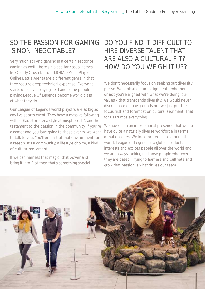## SO THE PASSION FOR GAMING IS NON-NEGOTIABLE?

Very much so! And gaming in a certain sector of gaming as well. There's a place for casual games like Candy Crush but our MOBAs (Multi-Player Online Battle Arena) are a different genre in that they require deep technical expertise. Everyone starts on a level playing field and some people playing League Of Legends become world class at what they do.

Our League of Legends world playoffs are as big as any live sports event. They have a massive following with a Gladiator arena style atmosphere. It's another testament to the passion in the community. If you're a gamer and you love going to these events, we want to talk to you. You'll be part of that environment for a reason. It's a community, a lifestyle choice, a kind of cultural movement.

If we can harness that magic, that power and bring it into Riot then that's something special.

## DO YOU FIND IT DIFFICULT TO HIRE DIVERSE TALENT THAT ARE ALSO A CULTURAL FIT? HOW DO YOU WEIGH IT UP?

We don't necessarily focus on seeking out diversity per se. We look at cultural alignment - whether or not you're aligned with what we're doing, our values - that transcends diversity. We would never discriminate on any grounds but we just put the focus first and foremost on cultural alignment. That for us trumps everything.

We have such an international presence that we do have quite a naturally diverse workforce in terms of nationalities. We look for people all around the world. League of Legends is a global product, it interests and excites people all over the world and we are always looking for those people wherever they are based. Trying to harness and cultivate and grow that passion is what drives our team.

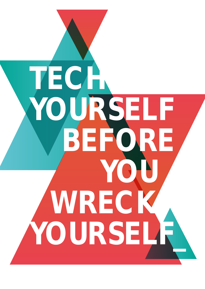<span id="page-17-0"></span>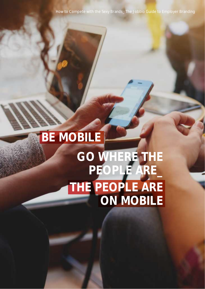How to Compete with the Sexy Brands\_ The Jobbio Guide to Employer Branding

# **GO WHERE THE PEOPLE ARE\_ THE PEOPLE ARE ON MOBILE BE MOBILE**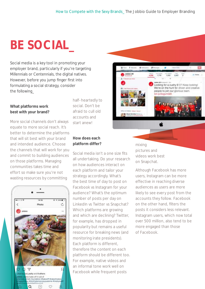# **BE SOCIAL\_**

Social media is a key tool in promoting your employer brand, particularly if you're targeting Millennials or Centennials, the digital natives. However, before you jump finger first into formulating a social strategy, consider the following\_

## **What platforms work best with your brand?**

More social channels don't always equate to more social reach. It's better to determine the platforms that will sit best with your brand and intended audience. Choose the channels that will work for you and commit to building audiences on those platforms. Managing communities takes time and effort so make sure you're not wasting resources by committing



half-heartedly to social. Don't be afraid to cull old accounts and start anew!

## **How does each platform differ?**

Social media isn't a one size fits all undertaking. Do your research on how audiences interact on each platform and tailor your strategy accordingly. What's the best time of day to post on Facebook vs Instagram for your audience? What's the optimum number of posts per day on LinkedIn vs Twitter vs Snapchat? Which platforms are growing and which are declining? Twitter, for example, has dropped in popularity but remains a useful resource for breaking news (and monitoring irate presidents). Each platform is different, therefore the content on each platform should be different too. For example, native videos and an informal tone work well on Facebook while frequent posts



mixing pictures and videos work best on Snapchat.

Although Facebook has more users, Instagram can be more effective in reaching diverse audiences as users are more likely to see every post from the accounts they follow. Facebook on the other hand, filters the posts it considers less relevant. Instagram users, which now total over 500 million, also tend to be more engaged than those of Facebook.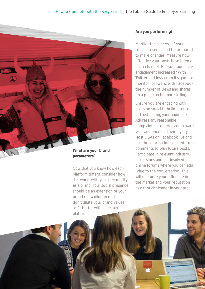### How to Compete with the Sexy Brands\_ The Jobbio Guide to Employer Branding



## **parameters?**

Now that you know how each platform differs, consider how this works with your personality as a brand. Your social presence should be an extension of your brand not a dilution of it. i.e. don't dilute your brand values to fit better with a certain platform.

#### **Are you performing?**

Monitor the success of your social presence and be prepared to make changes. Measure how effective your posts have been on each channel. Has your audience engagement increased? With Twitter and Instagram it's good to monitor followers, with Facebook the number of views and shares on a post can be more telling.

Ensure you are engaging with users on social to build a sense of trust among your audience. Address any reasonable complaints or queries and reward your audience for their loyalty. Host Q&As on Facebook live and use the information gleaned from comments to plan future posts. Participate in relevant industry discussions and get involved in online forums where you can add value to the conversation. This will reinforce your influence in the market and your reputation as a thought leader in your area.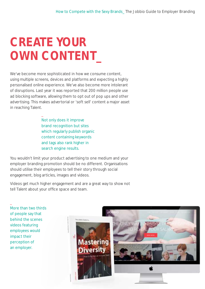# **CREATE YOUR OWN CONTENT\_**

\_

We've become more sophisticated in how we consume content, using multiple screens, devices and platforms and expecting a highly personalised online experience. We've also become more intolerant of disruptions. Last year it was reported that 200 million people use ad blocking software, allowing them to opt out of pop ups and other advertising. This makes advertorial or 'soft sell' content a major asset in reaching Talent.

> Not only does it improve brand recognition but sites which regularly publish organic content containing keywords and tags also rank higher in search engine results.

You wouldn't limit your product advertising to one medium and your employer branding promotion should be no different. Organisations should utilise their employees to tell their story through social engagement, blog articles, images and videos.

Videos get much higher engagement and are a great way to show not tell Talent about your office space and team.

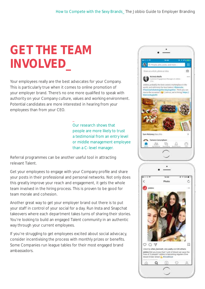# **GET THE TEAM INVOLVED\_**

Your employees really are the best advocates for your Company. This is particularly true when it comes to online promotion of your employer brand. There's no one more qualified to speak with authority on your Company culture, values and working environment. Potential candidates are more interested in hearing from your employees than from your CEO.

\_

Our research shows that people are more likely to trust a testimonial from an entry level or middle management employee than a C-level manager.

Referral programmes can be another useful tool in attracting relevant Talent.

Get your employees to engage with your Company profile and share your posts in their professional and personal networks. Not only does this greatly improve your reach and engagement, it gets the whole team involved in the hiring process. This is proven to be good for team morale and cohesion.

Another great way to get your employer brand out there is to put your staff in control of your social for a day. Run Insta and Snapchat takeovers where each department takes turns of sharing their stories. You're looking to build an engaged Talent community in an authentic way through your current employees.

If you're struggling to get employees excited about social advocacy, consider incentivising the process with monthly prizes or benefits. Some Companies run league tables for their most engaged brand ambassadors.

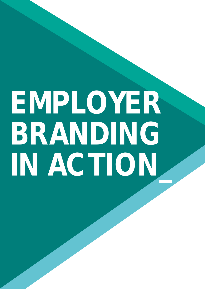# <span id="page-23-0"></span>**EMPLOYER BRANDING IN ACTION\_**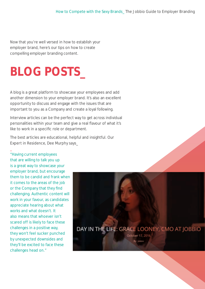Now that you're well versed in how to establish your employer brand, here's our tips on how to create compelling employer branding content.

# **BLOG POSTS\_**

A blog is a great platform to showcase your employees and add another dimension to your employer brand. It's also an excellent opportunity to discuss and engage with the issues that are important to you as a Company and create a loyal following.

Interview articles can be the perfect way to get across individual personalities within your team and give a real flavour of what it's like to work in a specific role or department.

The best articles are educational, helpful and insightful. Our Expert in Residence, Dee Murphy says\_

"Having current employees that are willing to talk you up is a great way to showcase your employer brand, but encourage them to be candid and frank when it comes to the areas of the job or the Company that they find challenging. Authentic content will work in your favour, as candidates appreciate hearing about what works and what doesn't. It also means that whoever isn't scared off is likely to face these challenges in a positive way, they won't feel sucker punched by unexpected downsides and they'll be excited to face these challenges head on."

\_

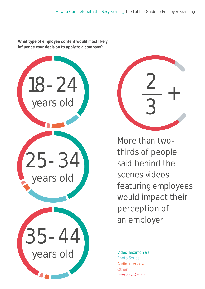**What type of employee content would most likely influence your decision to apply to a company?**



+ 2 3

More than twothirds of people said behind the scenes videos featuring employees would impact their perception of an employer

Video Testimonials Photo Series Audio Interview **Other** Interview Article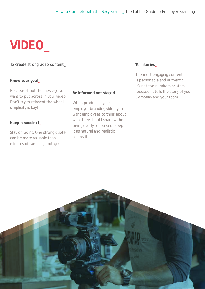# **VIDEO\_**

To create strong video content\_

### **Know your goal\_**

Be clear about the message you want to put across in your video. Don't try to reinvent the wheel, simplicity is key!

### **Keep it succinct\_**

Stay on point. One strong quote can be more valuable than minutes of rambling footage.

#### **Be informed not staged\_**

When producing your employer branding video you want employees to think about what they should share without being overly rehearsed. Keep it as natural and realistic as possible.

### **Tell stories\_**

The most engaging content is personable and authentic. It's not too numbers or stats focused, it tells the story of your Company and your team.

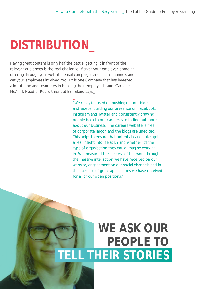# **DISTRIBUTION\_**

Having great content is only half the battle, getting it in front of the relevant audiences is the real challenge. Market your employer branding offering through your website, email campaigns and social channels and get your employees involved too! EY is one Company that has invested a lot of time and resources in building their employer brand. Caroline McAniff, Head of Recruitment at EY Ireland says\_

\_

"We really focused on pushing out our blogs and videos, building our presence on Facebook, Instagram and Twitter and consistently drawing people back to our careers site to find out more about our business. The careers website is free of corporate jargon and the blogs are unedited. This helps to ensure that potential candidates get a real insight into life at EY and whether it's the type of organisation they could imagine working in. We measured the success of this work through the massive interaction we have received on our website, engagement on our social channels and in the increase of great applications we have received for all of our open positions."

## **WE ASK OUR PEOPLE TO TELL THEIR STORIES**